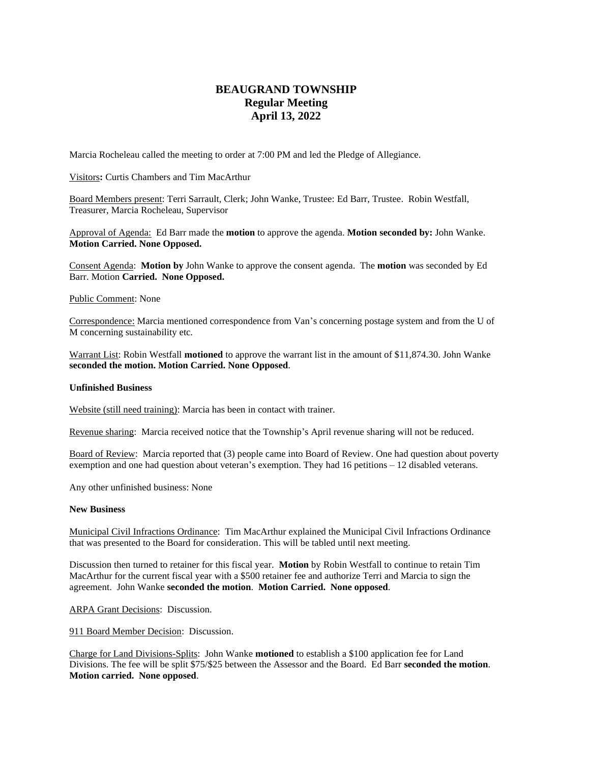## **BEAUGRAND TOWNSHIP Regular Meeting April 13, 2022**

Marcia Rocheleau called the meeting to order at 7:00 PM and led the Pledge of Allegiance.

Visitors**:** Curtis Chambers and Tim MacArthur

Board Members present: Terri Sarrault, Clerk; John Wanke, Trustee: Ed Barr, Trustee. Robin Westfall, Treasurer, Marcia Rocheleau, Supervisor

Approval of Agenda: Ed Barr made the **motion** to approve the agenda. **Motion seconded by:** John Wanke. **Motion Carried. None Opposed.**

Consent Agenda: **Motion by** John Wanke to approve the consent agenda. The **motion** was seconded by Ed Barr. Motion **Carried. None Opposed.**

Public Comment: None

Correspondence: Marcia mentioned correspondence from Van's concerning postage system and from the U of M concerning sustainability etc.

Warrant List: Robin Westfall **motioned** to approve the warrant list in the amount of \$11,874.30. John Wanke **seconded the motion. Motion Carried. None Opposed**.

## **Unfinished Business**

Website (still need training): Marcia has been in contact with trainer.

Revenue sharing: Marcia received notice that the Township's April revenue sharing will not be reduced.

Board of Review: Marcia reported that (3) people came into Board of Review. One had question about poverty exemption and one had question about veteran's exemption. They had 16 petitions – 12 disabled veterans.

Any other unfinished business: None

## **New Business**

Municipal Civil Infractions Ordinance: Tim MacArthur explained the Municipal Civil Infractions Ordinance that was presented to the Board for consideration. This will be tabled until next meeting.

Discussion then turned to retainer for this fiscal year. **Motion** by Robin Westfall to continue to retain Tim MacArthur for the current fiscal year with a \$500 retainer fee and authorize Terri and Marcia to sign the agreement. John Wanke **seconded the motion**. **Motion Carried. None opposed**.

ARPA Grant Decisions: Discussion.

911 Board Member Decision: Discussion.

Charge for Land Divisions-Splits: John Wanke **motioned** to establish a \$100 application fee for Land Divisions. The fee will be split \$75/\$25 between the Assessor and the Board. Ed Barr **seconded the motion**. **Motion carried. None opposed**.